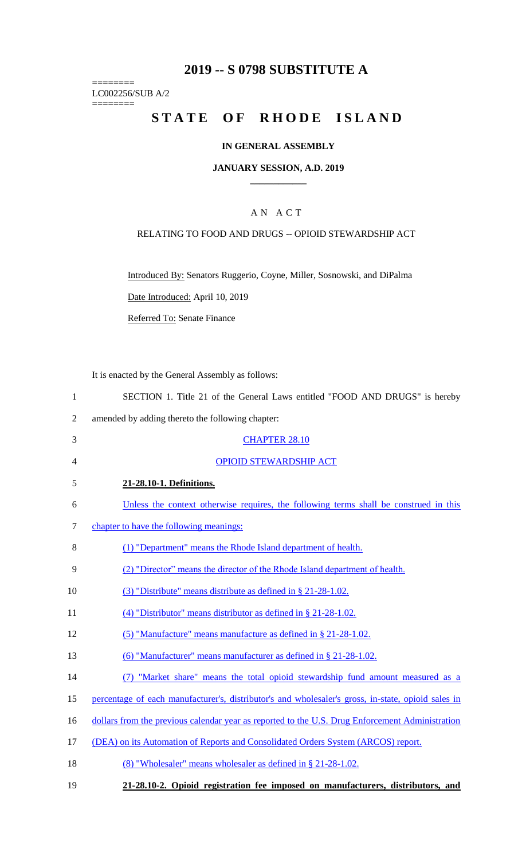## **2019 -- S 0798 SUBSTITUTE A**

LC002256/SUB A/2 ========

========

# **STATE OF RHODE ISLAND**

### **IN GENERAL ASSEMBLY**

### **JANUARY SESSION, A.D. 2019 \_\_\_\_\_\_\_\_\_\_\_\_**

### A N A C T

### RELATING TO FOOD AND DRUGS -- OPIOID STEWARDSHIP ACT

Introduced By: Senators Ruggerio, Coyne, Miller, Sosnowski, and DiPalma

Date Introduced: April 10, 2019

Referred To: Senate Finance

It is enacted by the General Assembly as follows:

| SECTION 1. Title 21 of the General Laws entitled "FOOD AND DRUGS" is hereby |
|-----------------------------------------------------------------------------|
|-----------------------------------------------------------------------------|

2 amended by adding thereto the following chapter:

| 3  | <b>CHAPTER 28.10</b>                                                                               |
|----|----------------------------------------------------------------------------------------------------|
| 4  | <b>OPIOID STEWARDSHIP ACT</b>                                                                      |
| 5  | 21-28.10-1. Definitions.                                                                           |
| 6  | Unless the context otherwise requires, the following terms shall be construed in this              |
| 7  | chapter to have the following meanings:                                                            |
| 8  | (1) "Department" means the Rhode Island department of health.                                      |
| 9  | (2) "Director" means the director of the Rhode Island department of health.                        |
| 10 | (3) "Distribute" means distribute as defined in $\S$ 21-28-1.02.                                   |
| 11 | (4) "Distributor" means distributor as defined in $\S$ 21-28-1.02.                                 |
| 12 | (5) "Manufacture" means manufacture as defined in $\S$ 21-28-1.02.                                 |
| 13 | (6) "Manufacturer" means manufacturer as defined in § 21-28-1.02.                                  |
| 14 | (7) "Market share" means the total opioid stewardship fund amount measured as a                    |
| 15 | percentage of each manufacturer's, distributor's and wholesaler's gross, in-state, opioid sales in |
| 16 | dollars from the previous calendar year as reported to the U.S. Drug Enforcement Administration    |
| 17 | (DEA) on its Automation of Reports and Consolidated Orders System (ARCOS) report.                  |
| 18 | (8) "Wholesaler" means wholesaler as defined in § 21-28-1.02.                                      |
|    |                                                                                                    |

19 **21-28.10-2. Opioid registration fee imposed on manufacturers, distributors, and**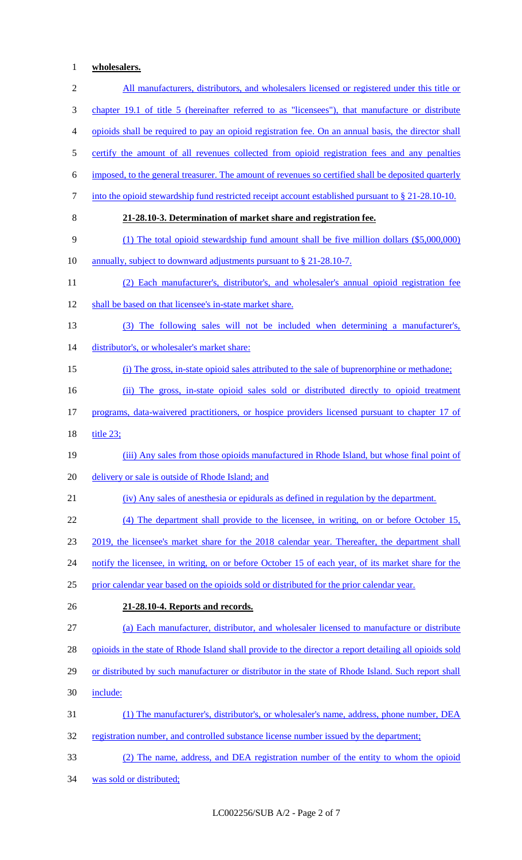## 1 **wholesalers.**

| $\sqrt{2}$     | All manufacturers, distributors, and wholesalers licensed or registered under this title or            |
|----------------|--------------------------------------------------------------------------------------------------------|
| 3              | chapter 19.1 of title 5 (hereinafter referred to as "licensees"), that manufacture or distribute       |
| $\overline{4}$ | opioids shall be required to pay an opioid registration fee. On an annual basis, the director shall    |
| $\mathfrak{S}$ | certify the amount of all revenues collected from opioid registration fees and any penalties           |
| 6              | imposed, to the general treasurer. The amount of revenues so certified shall be deposited quarterly    |
| $\tau$         | into the opioid stewardship fund restricted receipt account established pursuant to $\S$ 21-28.10-10.  |
| 8              | 21-28.10-3. Determination of market share and registration fee.                                        |
| 9              | $(1)$ The total opioid stewardship fund amount shall be five million dollars $(\$5,000,000)$           |
| 10             | annually, subject to downward adjustments pursuant to § 21-28.10-7.                                    |
| 11             | (2) Each manufacturer's, distributor's, and wholesaler's annual opioid registration fee                |
| 12             | shall be based on that licensee's in-state market share.                                               |
| 13             | (3) The following sales will not be included when determining a manufacturer's,                        |
| 14             | distributor's, or wholesaler's market share:                                                           |
| 15             | (i) The gross, in-state opioid sales attributed to the sale of buprenorphine or methadone;             |
| 16             | (ii) The gross, in-state opioid sales sold or distributed directly to opioid treatment                 |
| 17             | programs, data-waivered practitioners, or hospice providers licensed pursuant to chapter 17 of         |
| 18             | title $23$ ;                                                                                           |
| 19             | (iii) Any sales from those opioids manufactured in Rhode Island, but whose final point of              |
| 20             | delivery or sale is outside of Rhode Island; and                                                       |
| 21             | (iv) Any sales of an esthesia or epidurals as defined in regulation by the department.                 |
| 22             | (4) The department shall provide to the licensee, in writing, on or before October 15,                 |
| 23             | 2019, the licensee's market share for the 2018 calendar year. Thereafter, the department shall         |
| 24             | notify the licensee, in writing, on or before October 15 of each year, of its market share for the     |
| 25             | prior calendar year based on the opioids sold or distributed for the prior calendar year.              |
| 26             | 21-28.10-4. Reports and records.                                                                       |
| 27             | (a) Each manufacturer, distributor, and wholesaler licensed to manufacture or distribute               |
| 28             | opioids in the state of Rhode Island shall provide to the director a report detailing all opioids sold |
| 29             | or distributed by such manufacturer or distributor in the state of Rhode Island. Such report shall     |
| 30             | include:                                                                                               |
| 31             | (1) The manufacturer's, distributor's, or wholesaler's name, address, phone number, DEA                |
| 32             | registration number, and controlled substance license number issued by the department;                 |
| 33             | (2) The name, address, and DEA registration number of the entity to whom the opioid                    |
| 34             | was sold or distributed;                                                                               |

LC002256/SUB A/2 - Page 2 of 7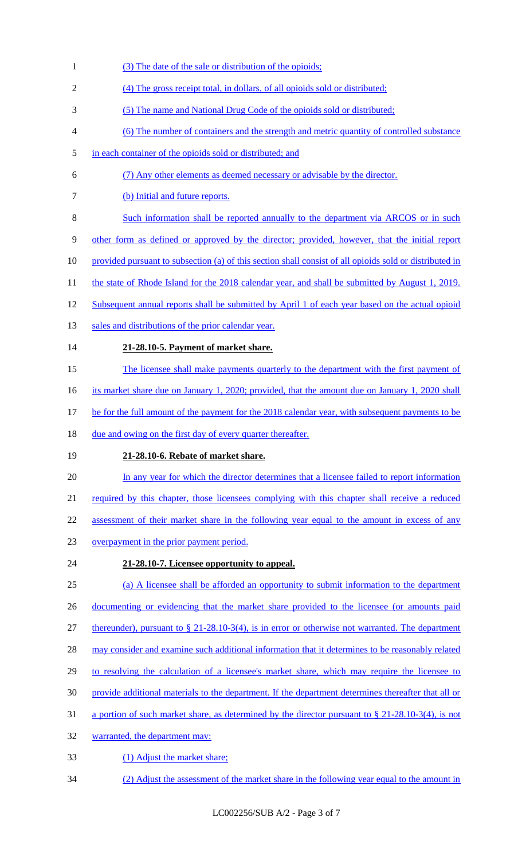- (3) The date of the sale or distribution of the opioids;
- (4) The gross receipt total, in dollars, of all opioids sold or distributed;
- (5) The name and National Drug Code of the opioids sold or distributed;
- (6) The number of containers and the strength and metric quantity of controlled substance
- in each container of the opioids sold or distributed; and
- (7) Any other elements as deemed necessary or advisable by the director.
- (b) Initial and future reports.
- Such information shall be reported annually to the department via ARCOS or in such

other form as defined or approved by the director; provided, however, that the initial report

- 10 provided pursuant to subsection (a) of this section shall consist of all opioids sold or distributed in
- 11 the state of Rhode Island for the 2018 calendar year, and shall be submitted by August 1, 2019.
- 12 Subsequent annual reports shall be submitted by April 1 of each year based on the actual opioid
- 13 sales and distributions of the prior calendar year.
- **21-28.10-5. Payment of market share.**
- The licensee shall make payments quarterly to the department with the first payment of
- 16 its market share due on January 1, 2020; provided, that the amount due on January 1, 2020 shall
- be for the full amount of the payment for the 2018 calendar year, with subsequent payments to be
- 18 due and owing on the first day of every quarter thereafter.
- **21-28.10-6. Rebate of market share.**
- In any year for which the director determines that a licensee failed to report information
- 21 required by this chapter, those licensees complying with this chapter shall receive a reduced

22 assessment of their market share in the following year equal to the amount in excess of any

- overpayment in the prior payment period.
- **21-28.10-7. Licensee opportunity to appeal.**
- (a) A licensee shall be afforded an opportunity to submit information to the department 26 documenting or evidencing that the market share provided to the licensee (or amounts paid
- thereunder), pursuant to § 21-28.10-3(4), is in error or otherwise not warranted. The department
- 28 may consider and examine such additional information that it determines to be reasonably related
- to resolving the calculation of a licensee's market share, which may require the licensee to
- provide additional materials to the department. If the department determines thereafter that all or
- a portion of such market share, as determined by the director pursuant to § 21-28.10-3(4), is not
- warranted, the department may:
- (1) Adjust the market share;
- (2) Adjust the assessment of the market share in the following year equal to the amount in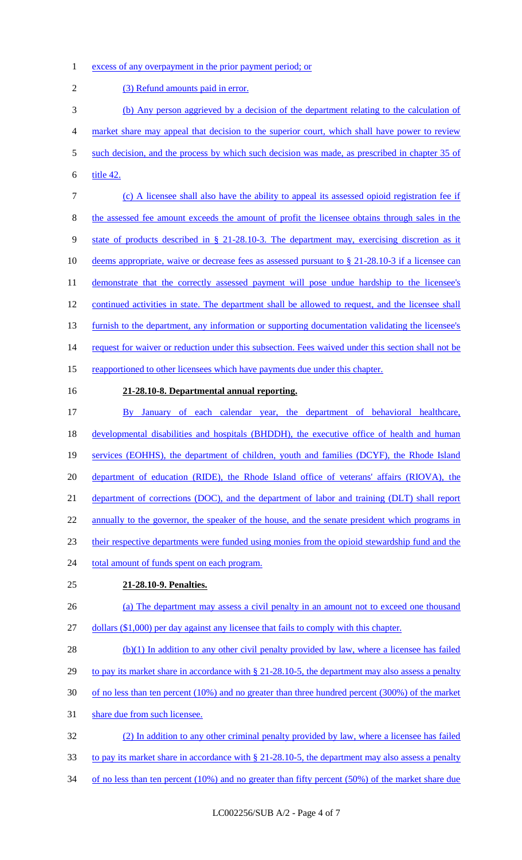1 excess of any overpayment in the prior payment period; or

2 (3) Refund amounts paid in error. 3 (b) Any person aggrieved by a decision of the department relating to the calculation of 4 market share may appeal that decision to the superior court, which shall have power to review 5 such decision, and the process by which such decision was made, as prescribed in chapter 35 of 6 title 42. 7 (c) A licensee shall also have the ability to appeal its assessed opioid registration fee if 8 the assessed fee amount exceeds the amount of profit the licensee obtains through sales in the 9 state of products described in § 21-28.10-3. The department may, exercising discretion as it 10 deems appropriate, waive or decrease fees as assessed pursuant to § 21-28.10-3 if a licensee can 11 demonstrate that the correctly assessed payment will pose undue hardship to the licensee's 12 continued activities in state. The department shall be allowed to request, and the licensee shall 13 furnish to the department, any information or supporting documentation validating the licensee's 14 request for waiver or reduction under this subsection. Fees waived under this section shall not be 15 reapportioned to other licensees which have payments due under this chapter. 16 **21-28.10-8. Departmental annual reporting.**  17 By January of each calendar year, the department of behavioral healthcare, 18 developmental disabilities and hospitals (BHDDH), the executive office of health and human 19 services (EOHHS), the department of children, youth and families (DCYF), the Rhode Island 20 department of education (RIDE), the Rhode Island office of veterans' affairs (RIOVA), the 21 department of corrections (DOC), and the department of labor and training (DLT) shall report 22 annually to the governor, the speaker of the house, and the senate president which programs in 23 their respective departments were funded using monies from the opioid stewardship fund and the 24 total amount of funds spent on each program. 25 **21-28.10-9. Penalties.**  26 (a) The department may assess a civil penalty in an amount not to exceed one thousand 27 dollars (\$1,000) per day against any licensee that fails to comply with this chapter.  $28$  (b)(1) In addition to any other civil penalty provided by law, where a licensee has failed 29 to pay its market share in accordance with § 21-28.10-5, the department may also assess a penalty 30 of no less than ten percent (10%) and no greater than three hundred percent (300%) of the market 31 share due from such licensee. 32 (2) In addition to any other criminal penalty provided by law, where a licensee has failed 33 to pay its market share in accordance with § 21-28.10-5, the department may also assess a penalty 34 of no less than ten percent (10%) and no greater than fifty percent (50%) of the market share due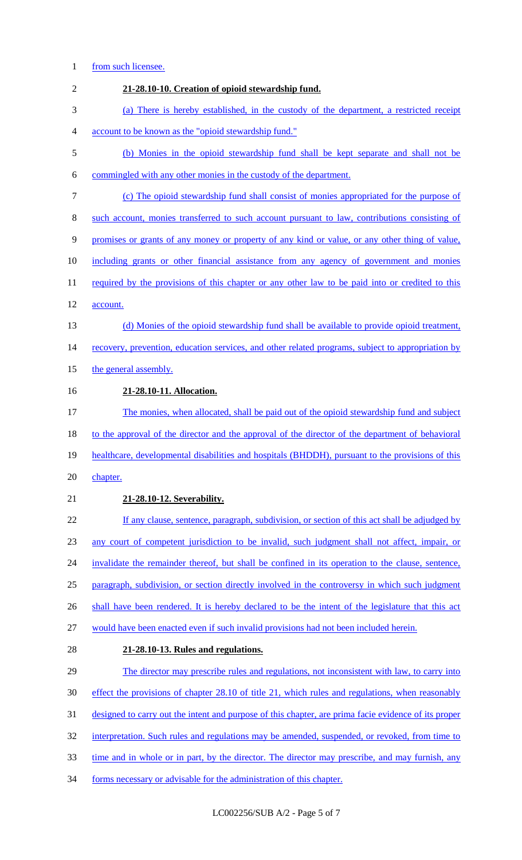## 1 from such licensee.

| $\overline{2}$ | 21-28.10-10. Creation of opioid stewardship fund.                                                    |
|----------------|------------------------------------------------------------------------------------------------------|
| 3              | (a) There is hereby established, in the custody of the department, a restricted receipt              |
| 4              | account to be known as the "opioid stewardship fund."                                                |
| 5              | (b) Monies in the opioid stewardship fund shall be kept separate and shall not be                    |
| 6              | commingled with any other monies in the custody of the department.                                   |
| 7              | (c) The opioid stewardship fund shall consist of monies appropriated for the purpose of              |
| 8              | such account, monies transferred to such account pursuant to law, contributions consisting of        |
| 9              | promises or grants of any money or property of any kind or value, or any other thing of value,       |
| 10             | including grants or other financial assistance from any agency of government and monies              |
| 11             | required by the provisions of this chapter or any other law to be paid into or credited to this      |
| 12             | account.                                                                                             |
| 13             | (d) Monies of the opioid stewardship fund shall be available to provide opioid treatment,            |
| 14             | recovery, prevention, education services, and other related programs, subject to appropriation by    |
| 15             | the general assembly.                                                                                |
| 16             | 21-28.10-11. Allocation.                                                                             |
| 17             | The monies, when allocated, shall be paid out of the opioid stewardship fund and subject             |
| 18             | to the approval of the director and the approval of the director of the department of behavioral     |
| 19             | healthcare, developmental disabilities and hospitals (BHDDH), pursuant to the provisions of this     |
| 20             | chapter.                                                                                             |
| 21             | 21-28.10-12. Severability.                                                                           |
| 22             | If any clause, sentence, paragraph, subdivision, or section of this act shall be adjudged by         |
| 23             | any court of competent jurisdiction to be invalid, such judgment shall not affect, impair, or        |
| 24             | invalidate the remainder thereof, but shall be confined in its operation to the clause, sentence,    |
| 25             | paragraph, subdivision, or section directly involved in the controversy in which such judgment       |
| 26             | shall have been rendered. It is hereby declared to be the intent of the legislature that this act    |
| 27             | would have been enacted even if such invalid provisions had not been included herein.                |
| 28             | 21-28.10-13. Rules and regulations.                                                                  |
| 29             | The director may prescribe rules and regulations, not inconsistent with law, to carry into           |
| 30             | effect the provisions of chapter 28.10 of title 21, which rules and regulations, when reasonably     |
| 31             | designed to carry out the intent and purpose of this chapter, are prima facie evidence of its proper |
| 32             | interpretation. Such rules and regulations may be amended, suspended, or revoked, from time to       |
| 33             | time and in whole or in part, by the director. The director may prescribe, and may furnish, any      |
| 34             | forms necessary or advisable for the administration of this chapter.                                 |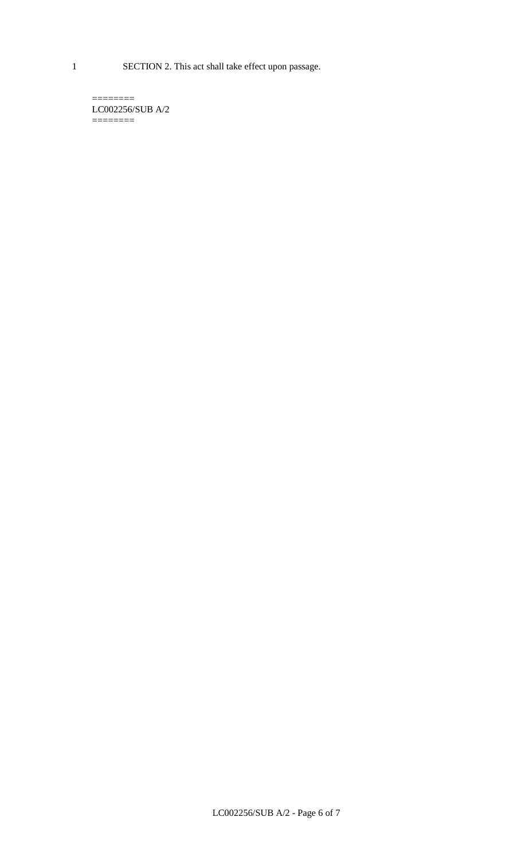1 SECTION 2. This act shall take effect upon passage.

 $=$ LC002256/SUB A/2  $=$